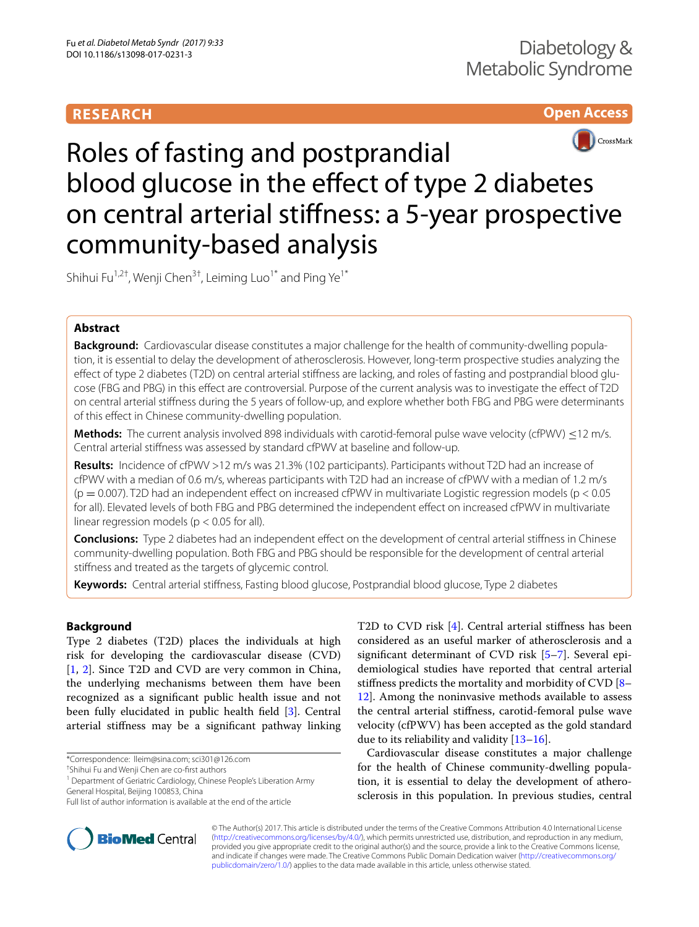# **RESEARCH**

# **Open Access**



# Roles of fasting and postprandial blood glucose in the effect of type 2 diabetes on central arterial stifness: a 5-year prospective community-based analysis

Shihui Fu<sup>1,2†</sup>, Wenji Chen<sup>3†</sup>, Leiming Luo<sup>1\*</sup> and Ping Ye<sup>1\*</sup>

# **Abstract**

**Background:** Cardiovascular disease constitutes a major challenge for the health of community-dwelling population, it is essential to delay the development of atherosclerosis. However, long-term prospective studies analyzing the efect of type 2 diabetes (T2D) on central arterial stifness are lacking, and roles of fasting and postprandial blood glucose (FBG and PBG) in this efect are controversial. Purpose of the current analysis was to investigate the efect of T2D on central arterial stifness during the 5 years of follow-up, and explore whether both FBG and PBG were determinants of this efect in Chinese community-dwelling population.

**Methods:** The current analysis involved 898 individuals with carotid-femoral pulse wave velocity (cfPWV) ≤12 m/s. Central arterial stifness was assessed by standard cfPWV at baseline and follow-up.

**Results:** Incidence of cfPWV >12 m/s was 21.3% (102 participants). Participants without T2D had an increase of cfPWV with a median of 0.6 m/s, whereas participants with T2D had an increase of cfPWV with a median of 1.2 m/s  $(p = 0.007)$ . T2D had an independent effect on increased cfPWV in multivariate Logistic regression models  $(p < 0.05)$ for all). Elevated levels of both FBG and PBG determined the independent efect on increased cfPWV in multivariate linear regression models ( $p < 0.05$  for all).

**Conclusions:** Type 2 diabetes had an independent efect on the development of central arterial stifness in Chinese community-dwelling population. Both FBG and PBG should be responsible for the development of central arterial stifness and treated as the targets of glycemic control.

**Keywords:** Central arterial stifness, Fasting blood glucose, Postprandial blood glucose, Type 2 diabetes

# **Background**

Type 2 diabetes (T2D) places the individuals at high risk for developing the cardiovascular disease (CVD) [[1,](#page-4-0) [2](#page-4-1)]. Since T2D and CVD are very common in China, the underlying mechanisms between them have been recognized as a signifcant public health issue and not been fully elucidated in public health feld [\[3](#page-4-2)]. Central arterial stifness may be a signifcant pathway linking

<sup>1</sup> Department of Geriatric Cardiology, Chinese People's Liberation Army General Hospital, Beijing 100853, China

T2D to CVD risk [[4\]](#page-4-3). Central arterial stifness has been considered as an useful marker of atherosclerosis and a signifcant determinant of CVD risk [\[5](#page-4-4)[–7](#page-4-5)]. Several epidemiological studies have reported that central arterial stifness predicts the mortality and morbidity of CVD [[8–](#page-4-6) [12\]](#page-4-7). Among the noninvasive methods available to assess the central arterial stifness, carotid-femoral pulse wave velocity (cfPWV) has been accepted as the gold standard due to its reliability and validity [\[13](#page-4-8)[–16](#page-5-0)].

Cardiovascular disease constitutes a major challenge for the health of Chinese community-dwelling population, it is essential to delay the development of atherosclerosis in this population. In previous studies, central



© The Author(s) 2017. This article is distributed under the terms of the Creative Commons Attribution 4.0 International License [\(http://creativecommons.org/licenses/by/4.0/\)](http://creativecommons.org/licenses/by/4.0/), which permits unrestricted use, distribution, and reproduction in any medium, provided you give appropriate credit to the original author(s) and the source, provide a link to the Creative Commons license, and indicate if changes were made. The Creative Commons Public Domain Dedication waiver ([http://creativecommons.org/](http://creativecommons.org/publicdomain/zero/1.0/) [publicdomain/zero/1.0/](http://creativecommons.org/publicdomain/zero/1.0/)) applies to the data made available in this article, unless otherwise stated.

<sup>\*</sup>Correspondence: lleim@sina.com; sci301@126.com

<sup>†</sup> Shihui Fu and Wenji Chen are co-frst authors

Full list of author information is available at the end of the article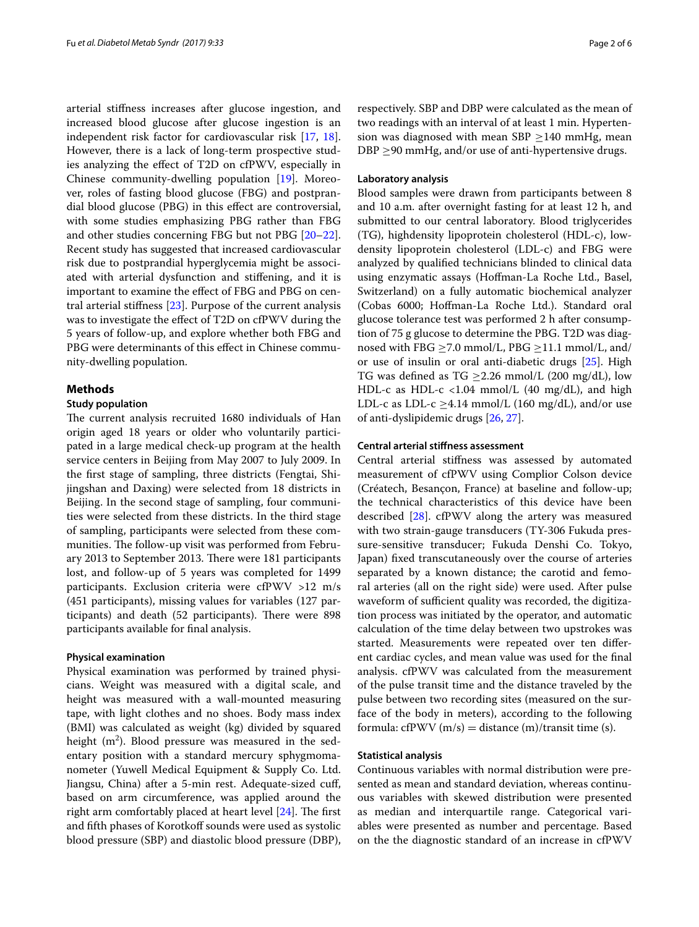arterial stifness increases after glucose ingestion, and increased blood glucose after glucose ingestion is an independent risk factor for cardiovascular risk [\[17](#page-5-1), [18](#page-5-2)]. However, there is a lack of long-term prospective studies analyzing the efect of T2D on cfPWV, especially in Chinese community-dwelling population [[19\]](#page-5-3). Moreover, roles of fasting blood glucose (FBG) and postprandial blood glucose (PBG) in this efect are controversial, with some studies emphasizing PBG rather than FBG and other studies concerning FBG but not PBG [[20](#page-5-4)[–22](#page-5-5)]. Recent study has suggested that increased cardiovascular risk due to postprandial hyperglycemia might be associated with arterial dysfunction and stifening, and it is important to examine the efect of FBG and PBG on central arterial stifness [[23](#page-5-6)]. Purpose of the current analysis was to investigate the efect of T2D on cfPWV during the 5 years of follow-up, and explore whether both FBG and PBG were determinants of this effect in Chinese community-dwelling population.

## **Methods**

# **Study population**

The current analysis recruited 1680 individuals of Han origin aged 18 years or older who voluntarily participated in a large medical check-up program at the health service centers in Beijing from May 2007 to July 2009. In the frst stage of sampling, three districts (Fengtai, Shijingshan and Daxing) were selected from 18 districts in Beijing. In the second stage of sampling, four communities were selected from these districts. In the third stage of sampling, participants were selected from these communities. The follow-up visit was performed from February 2013 to September 2013. There were 181 participants lost, and follow-up of 5 years was completed for 1499 participants. Exclusion criteria were cfPWV >12 m/s (451 participants), missing values for variables (127 participants) and death (52 participants). There were 898 participants available for fnal analysis.

## **Physical examination**

Physical examination was performed by trained physicians. Weight was measured with a digital scale, and height was measured with a wall-mounted measuring tape, with light clothes and no shoes. Body mass index (BMI) was calculated as weight (kg) divided by squared height (m<sup>2</sup>). Blood pressure was measured in the sedentary position with a standard mercury sphygmomanometer (Yuwell Medical Equipment & Supply Co. Ltd. Jiangsu, China) after a 5-min rest. Adequate-sized cuf, based on arm circumference, was applied around the right arm comfortably placed at heart level  $[24]$  $[24]$ . The first and fifth phases of Korotkoff sounds were used as systolic blood pressure (SBP) and diastolic blood pressure (DBP), respectively. SBP and DBP were calculated as the mean of two readings with an interval of at least 1 min. Hypertension was diagnosed with mean SBP  $\geq$ 140 mmHg, mean DBP  $\geq$ 90 mmHg, and/or use of anti-hypertensive drugs.

#### **Laboratory analysis**

Blood samples were drawn from participants between 8 and 10 a.m. after overnight fasting for at least 12 h, and submitted to our central laboratory. Blood triglycerides (TG), highdensity lipoprotein cholesterol (HDL-c), lowdensity lipoprotein cholesterol (LDL-c) and FBG were analyzed by qualifed technicians blinded to clinical data using enzymatic assays (Hofman-La Roche Ltd., Basel, Switzerland) on a fully automatic biochemical analyzer (Cobas 6000; Hofman-La Roche Ltd.). Standard oral glucose tolerance test was performed 2 h after consumption of 75 g glucose to determine the PBG. T2D was diagnosed with FBG  $\geq$ 7.0 mmol/L, PBG  $\geq$ 11.1 mmol/L, and/ or use of insulin or oral anti-diabetic drugs [[25\]](#page-5-8). High TG was defined as TG  $\geq$ 2.26 mmol/L (200 mg/dL), low HDL-c as HDL-c <1.04 mmol/L (40 mg/dL), and high LDL-c as LDL-c  $\geq$ 4.14 mmol/L (160 mg/dL), and/or use of anti-dyslipidemic drugs [[26,](#page-5-9) [27](#page-5-10)].

# **Central arterial stifness assessment**

Central arterial stifness was assessed by automated measurement of cfPWV using Complior Colson device (Créatech, Besançon, France) at baseline and follow-up; the technical characteristics of this device have been described [[28\]](#page-5-11). cfPWV along the artery was measured with two strain-gauge transducers (TY-306 Fukuda pressure-sensitive transducer; Fukuda Denshi Co. Tokyo, Japan) fxed transcutaneously over the course of arteries separated by a known distance; the carotid and femoral arteries (all on the right side) were used. After pulse waveform of sufficient quality was recorded, the digitization process was initiated by the operator, and automatic calculation of the time delay between two upstrokes was started. Measurements were repeated over ten diferent cardiac cycles, and mean value was used for the fnal analysis. cfPWV was calculated from the measurement of the pulse transit time and the distance traveled by the pulse between two recording sites (measured on the surface of the body in meters), according to the following formula: cfPWV  $(m/s)$  = distance  $(m)/$ transit time (s).

### **Statistical analysis**

Continuous variables with normal distribution were presented as mean and standard deviation, whereas continuous variables with skewed distribution were presented as median and interquartile range. Categorical variables were presented as number and percentage. Based on the the diagnostic standard of an increase in cfPWV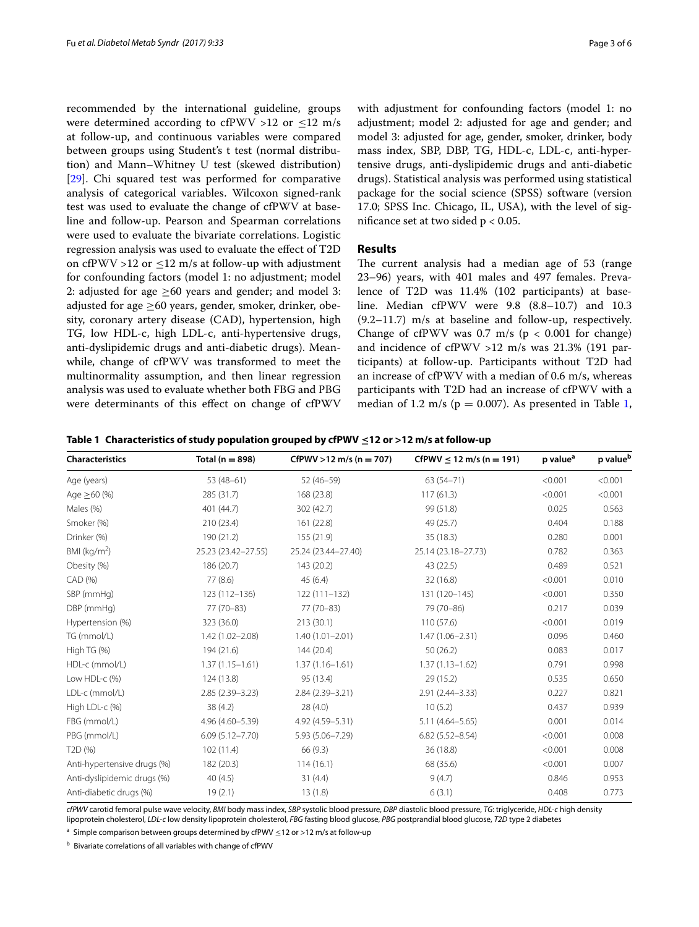recommended by the international guideline, groups were determined according to cfPWV  $>12$  or  $\leq 12$  m/s at follow-up, and continuous variables were compared between groups using Student's t test (normal distribution) and Mann–Whitney U test (skewed distribution) [[29\]](#page-5-12). Chi squared test was performed for comparative analysis of categorical variables. Wilcoxon signed-rank test was used to evaluate the change of cfPWV at baseline and follow-up. Pearson and Spearman correlations were used to evaluate the bivariate correlations. Logistic regression analysis was used to evaluate the efect of T2D on cfPWV >12 or  $\leq$ 12 m/s at follow-up with adjustment for confounding factors (model 1: no adjustment; model 2: adjusted for age  $\geq 60$  years and gender; and model 3: adjusted for age  $\geq 60$  years, gender, smoker, drinker, obesity, coronary artery disease (CAD), hypertension, high TG, low HDL-c, high LDL-c, anti-hypertensive drugs, anti-dyslipidemic drugs and anti-diabetic drugs). Meanwhile, change of cfPWV was transformed to meet the multinormality assumption, and then linear regression analysis was used to evaluate whether both FBG and PBG were determinants of this efect on change of cfPWV

with adjustment for confounding factors (model 1: no adjustment; model 2: adjusted for age and gender; and model 3: adjusted for age, gender, smoker, drinker, body mass index, SBP, DBP, TG, HDL-c, LDL-c, anti-hypertensive drugs, anti-dyslipidemic drugs and anti-diabetic drugs). Statistical analysis was performed using statistical package for the social science (SPSS) software (version 17.0; SPSS Inc. Chicago, IL, USA), with the level of signifcance set at two sided p < 0.05.

# **Results**

The current analysis had a median age of 53 (range 23–96) years, with 401 males and 497 females. Prevalence of T2D was 11.4% (102 participants) at baseline. Median cfPWV were 9.8 (8.8–10.7) and 10.3 (9.2–11.7) m/s at baseline and follow-up, respectively. Change of cfPWV was  $0.7$  m/s ( $p < 0.001$  for change) and incidence of cfPWV >12 m/s was 21.3% (191 participants) at follow-up. Participants without T2D had an increase of cfPWV with a median of 0.6 m/s, whereas participants with T2D had an increase of cfPWV with a median of [1](#page-2-0).2 m/s ( $p = 0.007$ ). As presented in Table 1,

<span id="page-2-0"></span>

|  |  |  | Table 1 Characteristics of study population grouped by cfPWV $\leq$ 12 or >12 m/s at follow-up |  |  |
|--|--|--|------------------------------------------------------------------------------------------------|--|--|
|--|--|--|------------------------------------------------------------------------------------------------|--|--|

| <b>Characteristics</b>      | Total ( $n = 898$ ) | CfPWV >12 m/s ( $n = 707$ ) | CfPWV $\leq$ 12 m/s (n = 191) | p value <sup>a</sup> | p valueb |
|-----------------------------|---------------------|-----------------------------|-------------------------------|----------------------|----------|
| Age (years)                 | $53(48-61)$         | $52(46 - 59)$               | $63(54 - 71)$                 | < 0.001              | < 0.001  |
| Age $\geq 60$ (%)           | 285 (31.7)          | 168 (23.8)                  | 117(61.3)                     | < 0.001              | < 0.001  |
| Males (%)                   | 401 (44.7)          | 302 (42.7)                  | 99 (51.8)                     | 0.025                | 0.563    |
| Smoker (%)                  | 210 (23.4)          | 161(22.8)                   | 49 (25.7)                     | 0.404                | 0.188    |
| Drinker (%)                 | 190 (21.2)          | 155 (21.9)                  | 35 (18.3)                     | 0.280                | 0.001    |
| BMI (kg/m <sup>2</sup> )    | 25.23 (23.42-27.55) | 25.24 (23.44-27.40)         | 25.14 (23.18-27.73)           | 0.782                | 0.363    |
| Obesity (%)                 | 186 (20.7)          | 143 (20.2)                  | 43 (22.5)                     | 0.489                | 0.521    |
| CAD (%)                     | 77 (8.6)            | 45(6.4)                     | 32 (16.8)                     | < 0.001              | 0.010    |
| SBP (mmHg)                  | 123 (112-136)       | $122(111 - 132)$            | 131 (120-145)                 | < 0.001              | 0.350    |
| DBP (mmHg)                  | 77 (70-83)          | 77 (70-83)                  | 79 (70-86)                    | 0.217                | 0.039    |
| Hypertension (%)            | 323 (36.0)          | 213 (30.1)                  | 110(57.6)                     | < 0.001              | 0.019    |
| TG (mmol/L)                 | $1.42(1.02 - 2.08)$ | $1.40(1.01 - 2.01)$         | $1.47(1.06 - 2.31)$           | 0.096                | 0.460    |
| High TG (%)                 | 194 (21.6)          | 144 (20.4)                  | 50(26.2)                      | 0.083                | 0.017    |
| HDL-c (mmol/L)              | $1.37(1.15 - 1.61)$ | $1.37(1.16 - 1.61)$         | $1.37(1.13 - 1.62)$           | 0.791                | 0.998    |
| Low HDL-c (%)               | 124 (13.8)          | 95 (13.4)                   | 29 (15.2)                     | 0.535                | 0.650    |
| LDL-c (mmol/L)              | 2.85 (2.39-3.23)    | 2.84 (2.39-3.21)            | 2.91 (2.44-3.33)              | 0.227                | 0.821    |
| High LDL-c (%)              | 38(4.2)             | 28(4.0)                     | 10(5.2)                       | 0.437                | 0.939    |
| FBG (mmol/L)                | 4.96 (4.60-5.39)    | 4.92 (4.59 - 5.31)          | $5.11(4.64 - 5.65)$           | 0.001                | 0.014    |
| PBG (mmol/L)                | $6.09(5.12 - 7.70)$ | 5.93 (5.06-7.29)            | $6.82(5.52 - 8.54)$           | < 0.001              | 0.008    |
| T <sub>2</sub> D (%)        | 102(11.4)           | 66(9.3)                     | 36 (18.8)                     | < 0.001              | 0.008    |
| Anti-hypertensive drugs (%) | 182 (20.3)          | 114(16.1)                   | 68 (35.6)                     | < 0.001              | 0.007    |
| Anti-dyslipidemic drugs (%) | 40(4.5)             | 31(4.4)                     | 9(4.7)                        | 0.846                | 0.953    |
| Anti-diabetic drugs (%)     | 19(2.1)             | 13(1.8)                     | 6(3.1)                        | 0.408                | 0.773    |

*cfPWV* carotid femoral pulse wave velocity, *BMI* body mass index, *SBP* systolic blood pressure, *DBP* diastolic blood pressure, *TG*: triglyceride, *HDL-c* high density lipoprotein cholesterol, *LDL-c* low density lipoprotein cholesterol, *FBG* fasting blood glucose, *PBG* postprandial blood glucose, *T2D* type 2 diabetes

<sup>a</sup> Simple comparison between groups determined by cfPWV  $\leq$ 12 or >12 m/s at follow-up

<sup>b</sup> Bivariate correlations of all variables with change of cfPWV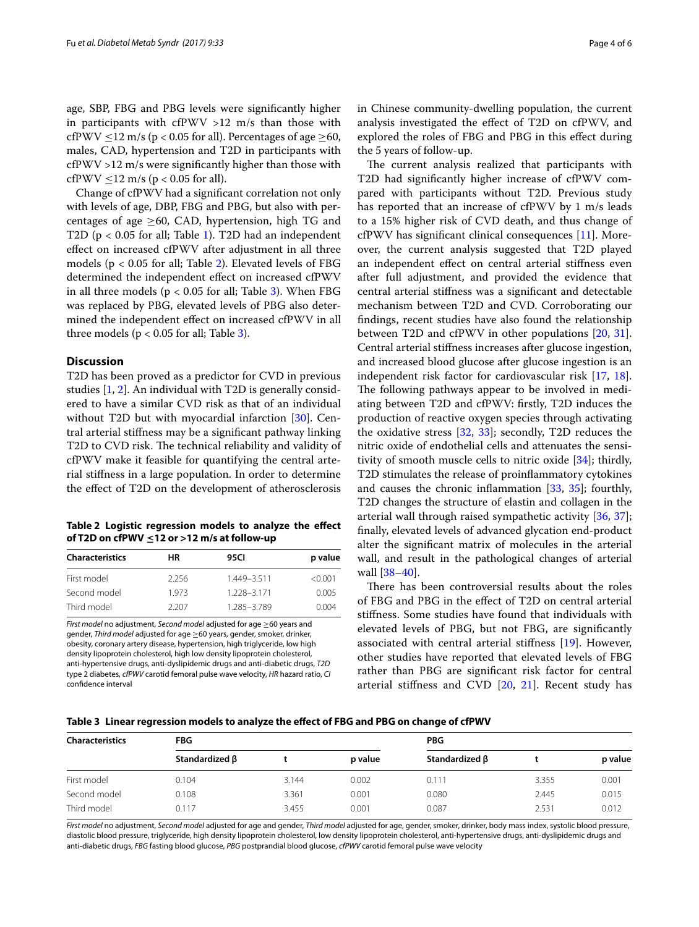age, SBP, FBG and PBG levels were signifcantly higher in participants with  $cfPWW > 12$  m/s than those with cfPWV  $\leq$ 12 m/s (p < 0.05 for all). Percentages of age  $\geq$ 60, males, CAD, hypertension and T2D in participants with cfPWV >12 m/s were signifcantly higher than those with cfPWV  $\leq$ 12 m/s (p < 0.05 for all).

Change of cfPWV had a signifcant correlation not only with levels of age, DBP, FBG and PBG, but also with percentages of age  $\geq 60$ , CAD, hypertension, high TG and T2D ( $p < 0.05$  for all; Table [1\)](#page-2-0). T2D had an independent efect on increased cfPWV after adjustment in all three models ( $p < 0.05$  for all; Table [2\)](#page-3-0). Elevated levels of FBG determined the independent efect on increased cfPWV in all three models ( $p < 0.05$  for all; Table [3](#page-3-1)). When FBG was replaced by PBG, elevated levels of PBG also determined the independent efect on increased cfPWV in all three models ( $p < 0.05$  for all; Table [3\)](#page-3-1).

# **Discussion**

T2D has been proved as a predictor for CVD in previous studies [[1,](#page-4-0) [2](#page-4-1)]. An individual with T2D is generally considered to have a similar CVD risk as that of an individual without T2D but with myocardial infarction [\[30](#page-5-13)]. Central arterial stifness may be a signifcant pathway linking T2D to CVD risk. The technical reliability and validity of cfPWV make it feasible for quantifying the central arterial stifness in a large population. In order to determine the efect of T2D on the development of atherosclerosis

<span id="page-3-0"></span>**Table 2 Logistic regression models to analyze the efect of T2D on cfPWV ≤12 or >12 m/s at follow-up**

| <b>Characteristics</b> | HR.   | 95CI        | p value |
|------------------------|-------|-------------|---------|
| First model            | 2.256 | 1.449-3.511 | < 0.001 |
| Second model           | 1973  | 1.228-3.171 | 0.005   |
| Third model            | 2207  | 1.285-3.789 | 0.004   |

*First model* no adjustment, *Second model* adjusted for age ≥60 years and gender, *Third model* adjusted for age ≥60 years, gender, smoker, drinker, obesity, coronary artery disease, hypertension, high triglyceride, low high density lipoprotein cholesterol, high low density lipoprotein cholesterol, anti-hypertensive drugs, anti-dyslipidemic drugs and anti-diabetic drugs, *T2D* type 2 diabetes, *cfPWV* carotid femoral pulse wave velocity, *HR* hazard ratio, *CI* confdence interval

in Chinese community-dwelling population, the current analysis investigated the efect of T2D on cfPWV, and explored the roles of FBG and PBG in this efect during the 5 years of follow-up.

The current analysis realized that participants with T2D had signifcantly higher increase of cfPWV compared with participants without T2D. Previous study has reported that an increase of cfPWV by 1 m/s leads to a 15% higher risk of CVD death, and thus change of cfPWV has signifcant clinical consequences [\[11](#page-4-9)]. Moreover, the current analysis suggested that T2D played an independent efect on central arterial stifness even after full adjustment, and provided the evidence that central arterial stifness was a signifcant and detectable mechanism between T2D and CVD. Corroborating our fndings, recent studies have also found the relationship between T2D and cfPWV in other populations [[20,](#page-5-4) [31](#page-5-14)]. Central arterial stifness increases after glucose ingestion, and increased blood glucose after glucose ingestion is an independent risk factor for cardiovascular risk [[17](#page-5-1), [18](#page-5-2)]. The following pathways appear to be involved in mediating between T2D and cfPWV: frstly, T2D induces the production of reactive oxygen species through activating the oxidative stress [[32,](#page-5-15) [33\]](#page-5-16); secondly, T2D reduces the nitric oxide of endothelial cells and attenuates the sensitivity of smooth muscle cells to nitric oxide [\[34](#page-5-17)]; thirdly, T2D stimulates the release of proinfammatory cytokines and causes the chronic infammation [[33,](#page-5-16) [35\]](#page-5-18); fourthly, T2D changes the structure of elastin and collagen in the arterial wall through raised sympathetic activity [\[36](#page-5-19), [37](#page-5-20)]; fnally, elevated levels of advanced glycation end-product alter the signifcant matrix of molecules in the arterial wall, and result in the pathological changes of arterial wall [[38–](#page-5-21)[40](#page-5-22)].

There has been controversial results about the roles of FBG and PBG in the efect of T2D on central arterial stifness. Some studies have found that individuals with elevated levels of PBG, but not FBG, are signifcantly associated with central arterial stifness [\[19](#page-5-3)]. However, other studies have reported that elevated levels of FBG rather than PBG are signifcant risk factor for central arterial stifness and CVD [\[20](#page-5-4), [21](#page-5-23)]. Recent study has

<span id="page-3-1"></span>**Table 3 Linear regression models to analyze the efect of FBG and PBG on change of cfPWV**

| <b>Characteristics</b> | <b>FBG</b>     |       |         | <b>PBG</b>     |       |         |
|------------------------|----------------|-------|---------|----------------|-------|---------|
|                        | Standardized β |       | p value | Standardized β |       | p value |
| First model            | 0.104          | 3.144 | 0.002   | 0.111          | 3.355 | 0.001   |
| Second model           | 0.108          | 3.361 | 0.001   | 0.080          | 2.445 | 0.015   |
| Third model            | 0.117          | 3.455 | 0.001   | 0.087          | 2.531 | 0.012   |

*First model* no adjustment, *Second model* adjusted for age and gender, *Third model* adjusted for age, gender, smoker, drinker, body mass index, systolic blood pressure, diastolic blood pressure, triglyceride, high density lipoprotein cholesterol, low density lipoprotein cholesterol, anti-hypertensive drugs, anti-dyslipidemic drugs and anti-diabetic drugs, *FBG* fasting blood glucose, *PBG* postprandial blood glucose, *cfPWV* carotid femoral pulse wave velocity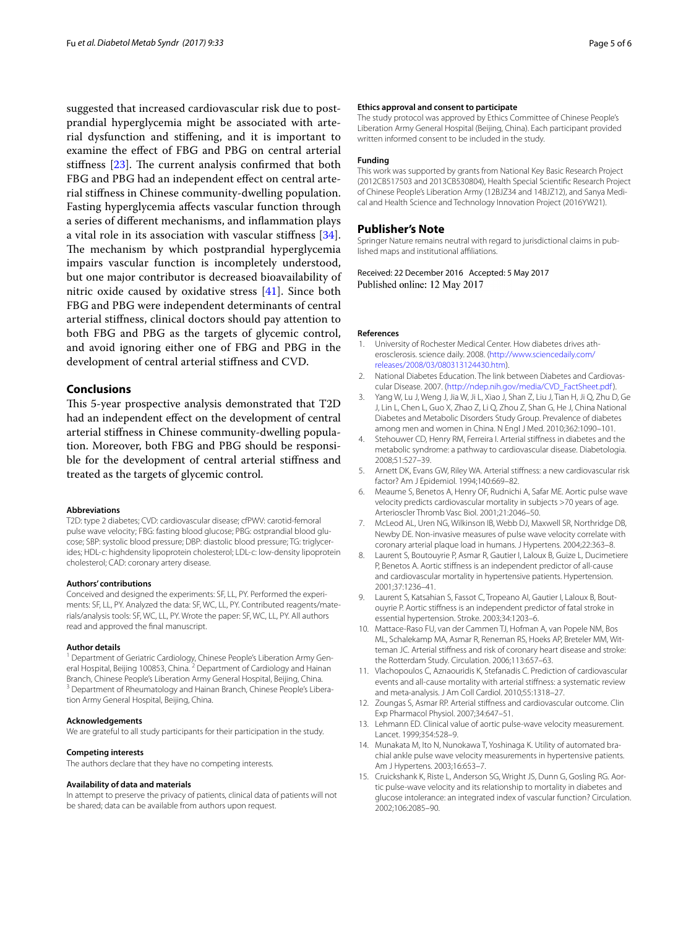suggested that increased cardiovascular risk due to postprandial hyperglycemia might be associated with arterial dysfunction and stifening, and it is important to examine the efect of FBG and PBG on central arterial stiffness  $[23]$  $[23]$ . The current analysis confirmed that both FBG and PBG had an independent effect on central arterial stifness in Chinese community-dwelling population. Fasting hyperglycemia afects vascular function through a series of diferent mechanisms, and infammation plays a vital role in its association with vascular stifness [\[34](#page-5-17)]. The mechanism by which postprandial hyperglycemia impairs vascular function is incompletely understood, but one major contributor is decreased bioavailability of nitric oxide caused by oxidative stress [\[41](#page-5-24)]. Since both FBG and PBG were independent determinants of central arterial stifness, clinical doctors should pay attention to both FBG and PBG as the targets of glycemic control, and avoid ignoring either one of FBG and PBG in the development of central arterial stifness and CVD.

## **Conclusions**

This 5-year prospective analysis demonstrated that T2D had an independent efect on the development of central arterial stifness in Chinese community-dwelling population. Moreover, both FBG and PBG should be responsible for the development of central arterial stifness and treated as the targets of glycemic control.

## **Abbreviations**

T2D: type 2 diabetes; CVD: cardiovascular disease; cfPWV: carotid-femoral pulse wave velocity; FBG: fasting blood glucose; PBG: ostprandial blood glucose; SBP: systolic blood pressure; DBP: diastolic blood pressure; TG: triglycerides; HDL-c: highdensity lipoprotein cholesterol; LDL-c: low-density lipoprotein cholesterol; CAD: coronary artery disease.

#### **Authors' contributions**

Conceived and designed the experiments: SF, LL, PY. Performed the experiments: SF, LL, PY. Analyzed the data: SF, WC, LL, PY. Contributed reagents/materials/analysis tools: SF, WC, LL, PY. Wrote the paper: SF, WC, LL, PY. All authors read and approved the fnal manuscript.

#### **Author details**

<sup>1</sup> Department of Geriatric Cardiology, Chinese People's Liberation Army General Hospital, Beijing 100853, China. <sup>2</sup> Department of Cardiology and Hainan Branch, Chinese People's Liberation Army General Hospital, Beijing, China. <sup>3</sup> Department of Rheumatology and Hainan Branch, Chinese People's Liberation Army General Hospital, Beijing, China.

#### **Acknowledgements**

We are grateful to all study participants for their participation in the study.

#### **Competing interests**

The authors declare that they have no competing interests.

#### **Availability of data and materials**

In attempt to preserve the privacy of patients, clinical data of patients will not be shared; data can be available from authors upon request.

#### **Ethics approval and consent to participate**

The study protocol was approved by Ethics Committee of Chinese People's Liberation Army General Hospital (Beijing, China). Each participant provided written informed consent to be included in the study.

#### **Funding**

This work was supported by grants from National Key Basic Research Project (2012CB517503 and 2013CB530804), Health Special Scientifc Research Project of Chinese People's Liberation Army (12BJZ34 and 14BJZ12), and Sanya Medical and Health Science and Technology Innovation Project (2016YW21).

#### **Publisher's Note**

Springer Nature remains neutral with regard to jurisdictional claims in published maps and institutional affiliations.

Received: 22 December 2016 Accepted: 5 May 2017 Published online: 12 May 2017

#### **References**

- <span id="page-4-0"></span>1. University of Rochester Medical Center. How diabetes drives atherosclerosis. science daily. 2008. [\(http://www.sciencedaily.com/](http://www.sciencedaily.com/releases/2008/03/080313124430.htm) [releases/2008/03/080313124430.htm\)](http://www.sciencedaily.com/releases/2008/03/080313124430.htm).
- <span id="page-4-1"></span>2. National Diabetes Education. The link between Diabetes and Cardiovascular Disease. 2007. [\(http://ndep.nih.gov/media/CVD\\_FactSheet.pdf](http://ndep.nih.gov/media/CVD_FactSheet.pdf)).
- <span id="page-4-2"></span>3. Yang W, Lu J, Weng J, Jia W, Ji L, Xiao J, Shan Z, Liu J, Tian H, Ji Q, Zhu D, Ge J, Lin L, Chen L, Guo X, Zhao Z, Li Q, Zhou Z, Shan G, He J, China National Diabetes and Metabolic Disorders Study Group. Prevalence of diabetes among men and women in China. N Engl J Med. 2010;362:1090–101.
- <span id="page-4-3"></span>4. Stehouwer CD, Henry RM, Ferreira I. Arterial stifness in diabetes and the metabolic syndrome: a pathway to cardiovascular disease. Diabetologia. 2008;51:527–39.
- <span id="page-4-4"></span>5. Arnett DK, Evans GW, Riley WA. Arterial stifness: a new cardiovascular risk factor? Am J Epidemiol. 1994;140:669–82.
- 6. Meaume S, Benetos A, Henry OF, Rudnichi A, Safar ME. Aortic pulse wave velocity predicts cardiovascular mortality in subjects >70 years of age. Arterioscler Thromb Vasc Biol. 2001;21:2046–50.
- <span id="page-4-5"></span>7. McLeod AL, Uren NG, Wilkinson IB, Webb DJ, Maxwell SR, Northridge DB, Newby DE. Non-invasive measures of pulse wave velocity correlate with coronary arterial plaque load in humans. J Hypertens. 2004;22:363–8.
- <span id="page-4-6"></span>8. Laurent S, Boutouyrie P, Asmar R, Gautier I, Laloux B, Guize L, Ducimetiere P, Benetos A. Aortic stifness is an independent predictor of all-cause and cardiovascular mortality in hypertensive patients. Hypertension. 2001;37:1236–41.
- 9. Laurent S, Katsahian S, Fassot C, Tropeano AI, Gautier I, Laloux B, Boutouyrie P. Aortic stifness is an independent predictor of fatal stroke in essential hypertension. Stroke. 2003;34:1203–6.
- 10. Mattace-Raso FU, van der Cammen TJ, Hofman A, van Popele NM, Bos ML, Schalekamp MA, Asmar R, Reneman RS, Hoeks AP, Breteler MM, Witteman JC. Arterial stifness and risk of coronary heart disease and stroke: the Rotterdam Study. Circulation. 2006;113:657–63.
- <span id="page-4-9"></span>11. Vlachopoulos C, Aznaouridis K, Stefanadis C. Prediction of cardiovascular events and all-cause mortality with arterial stifness: a systematic review and meta-analysis. J Am Coll Cardiol. 2010;55:1318–27.
- <span id="page-4-7"></span>12. Zoungas S, Asmar RP. Arterial stifness and cardiovascular outcome. Clin Exp Pharmacol Physiol. 2007;34:647–51.
- <span id="page-4-8"></span>13. Lehmann ED. Clinical value of aortic pulse-wave velocity measurement. Lancet. 1999;354:528–9.
- 14. Munakata M, Ito N, Nunokawa T, Yoshinaga K. Utility of automated brachial ankle pulse wave velocity measurements in hypertensive patients. Am J Hypertens. 2003;16:653–7.
- 15. Cruickshank K, Riste L, Anderson SG, Wright JS, Dunn G, Gosling RG. Aortic pulse-wave velocity and its relationship to mortality in diabetes and glucose intolerance: an integrated index of vascular function? Circulation. 2002;106:2085–90.